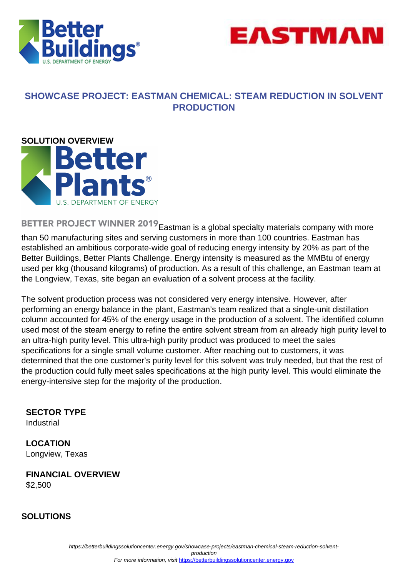



## **SHOWCASE PROJECT: EASTMAN CHEMICAL: STEAM REDUCTION IN SOLVENT PRODUCTION**



BETTER PROJECT WINNER 2019 Eastman is a global specialty materials company with more than 50 manufacturing sites and serving customers in more than 100 countries. Eastman has established an ambitious corporate-wide goal of reducing energy intensity by 20% as part of the Better Buildings, Better Plants Challenge. Energy intensity is measured as the MMBtu of energy used per kkg (thousand kilograms) of production. As a result of this challenge, an Eastman team at the Longview, Texas, site began an evaluation of a solvent process at the facility.

The solvent production process was not considered very energy intensive. However, after performing an energy balance in the plant, Eastman's team realized that a single-unit distillation column accounted for 45% of the energy usage in the production of a solvent. The identified column used most of the steam energy to refine the entire solvent stream from an already high purity level to an ultra-high purity level. This ultra-high purity product was produced to meet the sales specifications for a single small volume customer. After reaching out to customers, it was determined that the one customer's purity level for this solvent was truly needed, but that the rest of the production could fully meet sales specifications at the high purity level. This would eliminate the energy-intensive step for the majority of the production.

**SECTOR TYPE**

Industrial

**LOCATION** Longview, Texas

**FINANCIAL OVERVIEW** \$2,500

### **SOLUTIONS**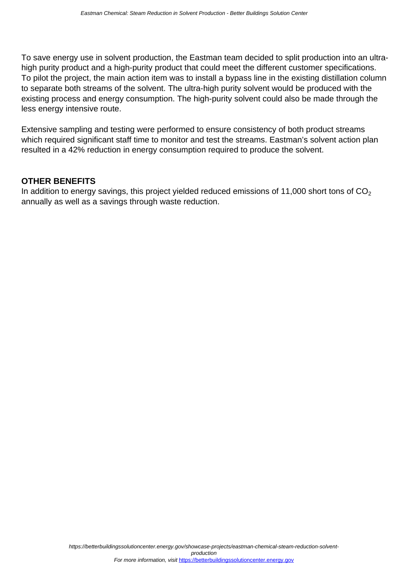To save energy use in solvent production, the Eastman team decided to split production into an ultrahigh purity product and a high-purity product that could meet the different customer specifications. To pilot the project, the main action item was to install a bypass line in the existing distillation column to separate both streams of the solvent. The ultra-high purity solvent would be produced with the existing process and energy consumption. The high-purity solvent could also be made through the less energy intensive route.

Extensive sampling and testing were performed to ensure consistency of both product streams which required significant staff time to monitor and test the streams. Eastman's solvent action plan resulted in a 42% reduction in energy consumption required to produce the solvent.

### **OTHER BENEFITS**

In addition to energy savings, this project yielded reduced emissions of 11,000 short tons of  $CO<sub>2</sub>$ annually as well as a savings through waste reduction.